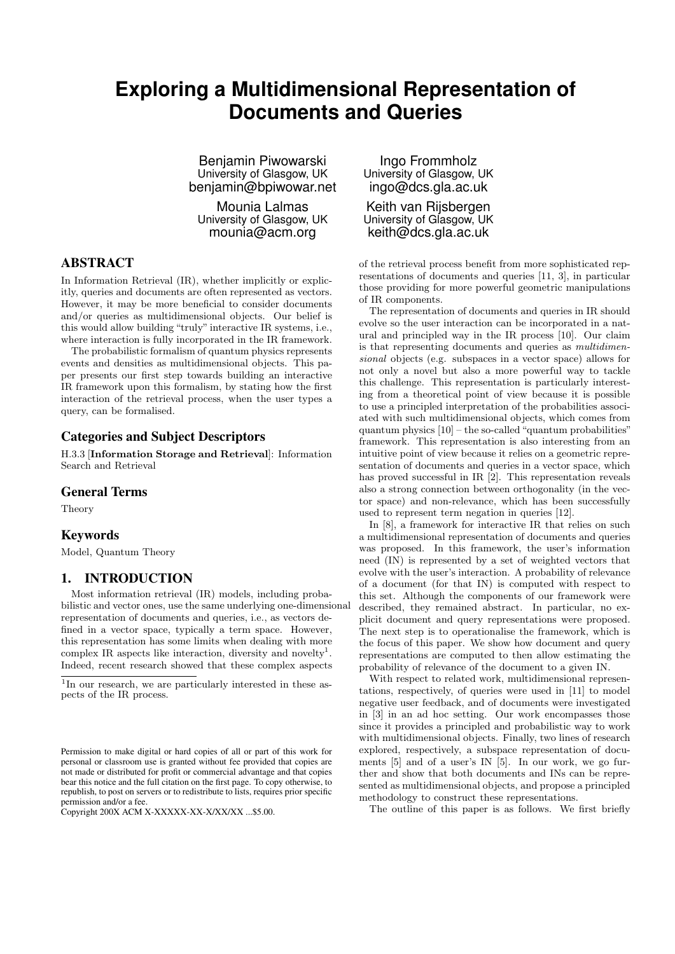# **Exploring a Multidimensional Representation of Documents and Queries**

Benjamin Piwowarski University of Glasgow, UK benjamin@bpiwowar.net

Mounia Lalmas University of Glasgow, UK mounia@acm.org

## ABSTRACT

In Information Retrieval (IR), whether implicitly or explicitly, queries and documents are often represented as vectors. However, it may be more beneficial to consider documents and/or queries as multidimensional objects. Our belief is this would allow building "truly" interactive IR systems, i.e., where interaction is fully incorporated in the IR framework.

The probabilistic formalism of quantum physics represents events and densities as multidimensional objects. This paper presents our first step towards building an interactive IR framework upon this formalism, by stating how the first interaction of the retrieval process, when the user types a query, can be formalised.

# Categories and Subject Descriptors

H.3.3 [Information Storage and Retrieval]: Information Search and Retrieval

#### General Terms

Theory

#### Keywords

Model, Quantum Theory

## 1. INTRODUCTION

Most information retrieval (IR) models, including probabilistic and vector ones, use the same underlying one-dimensional representation of documents and queries, i.e., as vectors defined in a vector space, typically a term space. However, this representation has some limits when dealing with more complex IR aspects like interaction, diversity and novelty<sup>1</sup>. Indeed, recent research showed that these complex aspects

Ingo Frommholz University of Glasgow, UK ingo@dcs.gla.ac.uk

Keith van Rijsbergen University of Glasgow, UK keith@dcs.gla.ac.uk

of the retrieval process benefit from more sophisticated representations of documents and queries [11, 3], in particular those providing for more powerful geometric manipulations of IR components.

The representation of documents and queries in IR should evolve so the user interaction can be incorporated in a natural and principled way in the IR process [10]. Our claim is that representing documents and queries as *multidimensional* objects (e.g. subspaces in a vector space) allows for not only a novel but also a more powerful way to tackle this challenge. This representation is particularly interesting from a theoretical point of view because it is possible to use a principled interpretation of the probabilities associated with such multidimensional objects, which comes from quantum physics  $[10]$  – the so-called "quantum probabilities" framework. This representation is also interesting from an intuitive point of view because it relies on a geometric representation of documents and queries in a vector space, which has proved successful in IR [2]. This representation reveals also a strong connection between orthogonality (in the vector space) and non-relevance, which has been successfully used to represent term negation in queries [12].

In [8], a framework for interactive IR that relies on such a multidimensional representation of documents and queries was proposed. In this framework, the user's information need (IN) is represented by a set of weighted vectors that evolve with the user's interaction. A probability of relevance of a document (for that IN) is computed with respect to this set. Although the components of our framework were described, they remained abstract. In particular, no explicit document and query representations were proposed. The next step is to operationalise the framework, which is the focus of this paper. We show how document and query representations are computed to then allow estimating the probability of relevance of the document to a given IN.

With respect to related work, multidimensional representations, respectively, of queries were used in [11] to model negative user feedback, and of documents were investigated in [3] in an ad hoc setting. Our work encompasses those since it provides a principled and probabilistic way to work with multidimensional objects. Finally, two lines of research explored, respectively, a subspace representation of documents [5] and of a user's IN [5]. In our work, we go further and show that both documents and INs can be represented as multidimensional objects, and propose a principled methodology to construct these representations.

The outline of this paper is as follows. We first briefly

 $1$ In our research, we are particularly interested in these aspects of the IR process.

Permission to make digital or hard copies of all or part of this work for personal or classroom use is granted without fee provided that copies are not made or distributed for profit or commercial advantage and that copies bear this notice and the full citation on the first page. To copy otherwise, to republish, to post on servers or to redistribute to lists, requires prior specific permission and/or a fee.

Copyright 200X ACM X-XXXXX-XX-X/XX/XX ...\$5.00.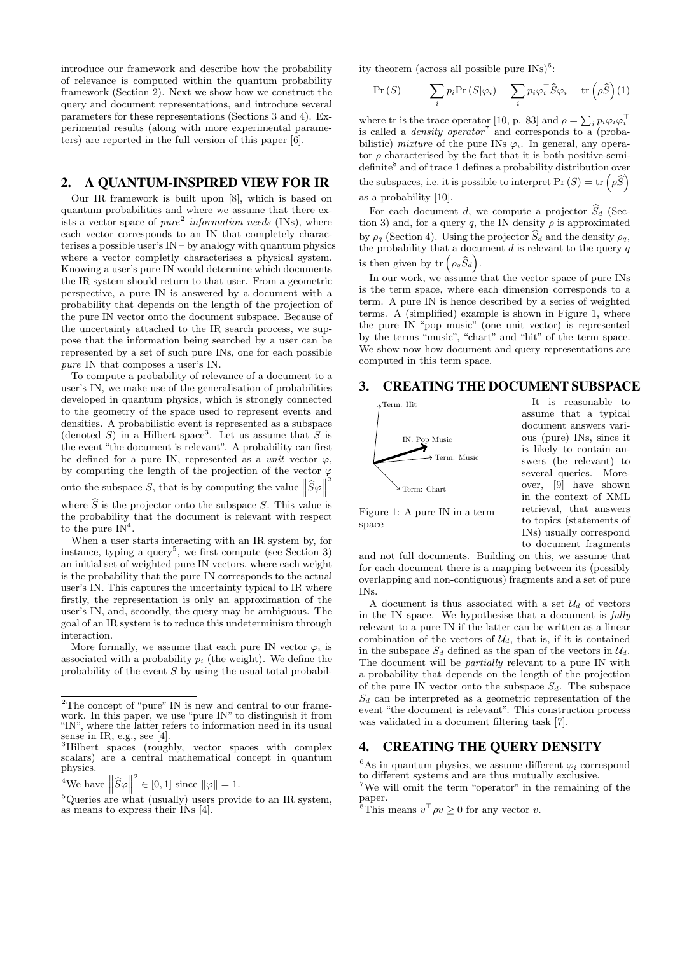introduce our framework and describe how the probability of relevance is computed within the quantum probability framework (Section 2). Next we show how we construct the query and document representations, and introduce several parameters for these representations (Sections 3 and 4). Experimental results (along with more experimental parameters) are reported in the full version of this paper [6].

# 2. A QUANTUM-INSPIRED VIEW FOR IR

Our IR framework is built upon [8], which is based on quantum probabilities and where we assume that there exists a vector space of *pure*<sup>2</sup> *information needs* (INs), where each vector corresponds to an IN that completely characterises a possible user's  $IN - by$  analogy with quantum physics where a vector completly characterises a physical system. Knowing a user's pure IN would determine which documents the IR system should return to that user. From a geometric perspective, a pure IN is answered by a document with a probability that depends on the length of the projection of the pure IN vector onto the document subspace. Because of the uncertainty attached to the IR search process, we suppose that the information being searched by a user can be represented by a set of such pure INs, one for each possible *pure* IN that composes a user's IN.

To compute a probability of relevance of a document to a user's IN, we make use of the generalisation of probabilities developed in quantum physics, which is strongly connected to the geometry of the space used to represent events and densities. A probabilistic event is represented as a subspace (denoted S) in a Hilbert space<sup>3</sup>. Let us assume that S is the event "the document is relevant". A probability can first be defined for a pure IN, represented as a *unit* vector  $\varphi$ , by computing the length of the projection of the vector  $\varphi$ onto the subspace S, that is by computing the value  $\|\widehat{S}\varphi\|$ 2

where  $\widehat{S}$  is the projector onto the subspace S. This value is the probability that the document is relevant with respect to the pure  $IN^4$ .

When a user starts interacting with an IR system by, for instance, typing a query<sup>5</sup>, we first compute (see Section 3) an initial set of weighted pure IN vectors, where each weight is the probability that the pure IN corresponds to the actual user's IN. This captures the uncertainty typical to IR where firstly, the representation is only an approximation of the user's IN, and, secondly, the query may be ambiguous. The goal of an IR system is to reduce this undeterminism through interaction.

More formally, we assume that each pure IN vector  $\varphi_i$  is associated with a probability  $p_i$  (the weight). We define the probability of the event S by using the usual total probabil-

<sup>4</sup>We have 
$$
\left\|\widehat{S}\varphi\right\|^2 \in [0,1]
$$
 since  $\|\varphi\|=1$ .

 $5Q$ ueries are what (usually) users provide to an IR system, as means to express their INs [4].

ity theorem (across all possible pure  $\text{INS}$ )<sup>6</sup>:

$$
\Pr(S) = \sum_{i} p_i \Pr(S|\varphi_i) = \sum_{i} p_i \varphi_i^{\top} \widehat{S} \varphi_i = \text{tr} \left( \rho \widehat{S} \right) (1)
$$

where tr is the trace operator [10, p. 83] and  $\rho = \sum_i p_i \varphi_i \varphi_i^{\top}$ <br>is called a *density operator*<sup>7</sup> and corresponds to a (probabilistic) *mixture* of the pure INs  $\varphi_i$ . In general, any operator  $\rho$  characterised by the fact that it is both positive-semidefinite<sup>8</sup> and of trace 1 defines a probability distribution over the subspaces, i.e. it is possible to interpret  $\Pr(S) = \text{tr}(\rho \widehat{S})$ as a probability [10].

For each document d, we compute a projector  $\widehat{S}_d$  (Section 3) and, for a query q, the IN density  $\rho$  is approximated by  $\rho_q$  (Section 4). Using the projector  $\widehat{S}_d$  and the density  $\rho_q$ , the probability that a document  $d$  is relevant to the query  $q$ is then given by  $\mathrm{tr} \left( \rho_q \widehat{S}_d \right)$ .

In our work, we assume that the vector space of pure INs is the term space, where each dimension corresponds to a term. A pure IN is hence described by a series of weighted terms. A (simplified) example is shown in Figure 1, where the pure IN "pop music" (one unit vector) is represented by the terms "music", "chart" and "hit" of the term space. We show now how document and query representations are computed in this term space.

#### 3. CREATING THE DOCUMENT SUBSPACE



It is reasonable to assume that a typical document answers various (pure) INs, since it is likely to contain answers (be relevant) to several queries. Moreover, [9] have shown in the context of XML retrieval, that answers to topics (statements of INs) usually correspond to document fragments

Figure 1: A pure IN in a term space

and not full documents. Building on this, we assume that for each document there is a mapping between its (possibly overlapping and non-contiguous) fragments and a set of pure INs.

A document is thus associated with a set  $\mathcal{U}_d$  of vectors in the IN space. We hypothesise that a document is *fully* relevant to a pure IN if the latter can be written as a linear combination of the vectors of  $\mathcal{U}_d$ , that is, if it is contained in the subspace  $S_d$  defined as the span of the vectors in  $\mathcal{U}_d$ . The document will be *partially* relevant to a pure IN with a probability that depends on the length of the projection of the pure IN vector onto the subspace  $S_d$ . The subspace  $S_d$  can be interpreted as a geometric representation of the event "the document is relevant". This construction process was validated in a document filtering task [7].

# 4. CREATING THE QUERY DENSITY

 $2$ The concept of "pure" IN is new and central to our framework. In this paper, we use "pure IN" to distinguish it from "IN", where the latter refers to information need in its usual sense in IR, e.g., see [4].

<sup>&</sup>lt;sup>3</sup>Hilbert spaces (roughly, vector spaces with complex scalars) are a central mathematical concept in quantum physics.

<sup>&</sup>lt;sup>6</sup>As in quantum physics, we assume different  $\varphi_i$  correspond to different systems and are thus mutually exclusive.

 $7$ We will omit the term "operator" in the remaining of the paper.

<sup>&</sup>lt;sup>8</sup>This means  $v^{\top} \rho v \geq 0$  for any vector v.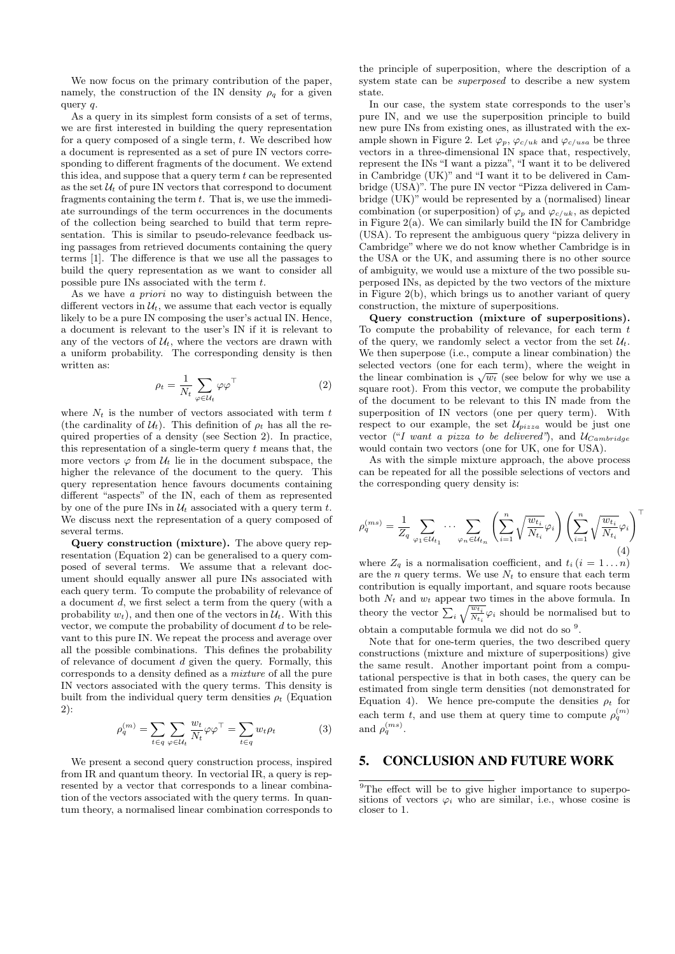We now focus on the primary contribution of the paper, namely, the construction of the IN density  $\rho_q$  for a given query q.

As a query in its simplest form consists of a set of terms, we are first interested in building the query representation for a query composed of a single term,  $t$ . We described how a document is represented as a set of pure IN vectors corresponding to different fragments of the document. We extend this idea, and suppose that a query term  $t$  can be represented as the set  $\mathcal{U}_t$  of pure IN vectors that correspond to document fragments containing the term  $t$ . That is, we use the immediate surroundings of the term occurrences in the documents of the collection being searched to build that term representation. This is similar to pseudo-relevance feedback using passages from retrieved documents containing the query terms [1]. The difference is that we use all the passages to build the query representation as we want to consider all possible pure INs associated with the term t.

As we have *a priori* no way to distinguish between the different vectors in  $\mathcal{U}_t$ , we assume that each vector is equally likely to be a pure IN composing the user's actual IN. Hence, a document is relevant to the user's IN if it is relevant to any of the vectors of  $\mathcal{U}_t$ , where the vectors are drawn with a uniform probability. The corresponding density is then written as:

$$
\rho_t = \frac{1}{N_t} \sum_{\varphi \in \mathcal{U}_t} \varphi \varphi^\top \tag{2}
$$

where  $N_t$  is the number of vectors associated with term t (the cardinality of  $\mathcal{U}_t$ ). This definition of  $\rho_t$  has all the required properties of a density (see Section 2). In practice, this representation of a single-term query  $t$  means that, the more vectors  $\varphi$  from  $\mathcal{U}_t$  lie in the document subspace, the higher the relevance of the document to the query. This query representation hence favours documents containing different "aspects" of the IN, each of them as represented by one of the pure INs in  $\mathcal{U}_t$  associated with a query term t. We discuss next the representation of a query composed of several terms.

Query construction (mixture). The above query representation (Equation 2) can be generalised to a query composed of several terms. We assume that a relevant document should equally answer all pure INs associated with each query term. To compute the probability of relevance of a document d, we first select a term from the query (with a probability  $w_t$ ), and then one of the vectors in  $\mathcal{U}_t$ . With this vector, we compute the probability of document  $d$  to be relevant to this pure IN. We repeat the process and average over all the possible combinations. This defines the probability of relevance of document d given the query. Formally, this corresponds to a density defined as a *mixture* of all the pure IN vectors associated with the query terms. This density is built from the individual query term densities  $\rho_t$  (Equation 2):

$$
\rho_q^{(m)} = \sum_{t \in q} \sum_{\varphi \in \mathcal{U}_t} \frac{w_t}{N_t} \varphi \varphi^\top = \sum_{t \in q} w_t \rho_t \tag{3}
$$

We present a second query construction process, inspired from IR and quantum theory. In vectorial IR, a query is represented by a vector that corresponds to a linear combination of the vectors associated with the query terms. In quantum theory, a normalised linear combination corresponds to

the principle of superposition, where the description of a system state can be *superposed* to describe a new system state.

In our case, the system state corresponds to the user's pure IN, and we use the superposition principle to build new pure INs from existing ones, as illustrated with the example shown in Figure 2. Let  $\varphi_p$ ,  $\varphi_{c/uk}$  and  $\varphi_{c/usa}$  be three vectors in a three-dimensional IN space that, respectively, represent the INs "I want a pizza", "I want it to be delivered in Cambridge (UK)" and "I want it to be delivered in Cambridge (USA)". The pure IN vector "Pizza delivered in Cambridge (UK)" would be represented by a (normalised) linear combination (or superposition) of  $\varphi_p$  and  $\varphi_{c/uk}$ , as depicted in Figure  $2(a)$ . We can similarly build the IN for Cambridge (USA). To represent the ambiguous query "pizza delivery in Cambridge" where we do not know whether Cambridge is in the USA or the UK, and assuming there is no other source of ambiguity, we would use a mixture of the two possible superposed INs, as depicted by the two vectors of the mixture in Figure 2(b), which brings us to another variant of query construction, the mixture of superpositions.

Query construction (mixture of superpositions). To compute the probability of relevance, for each term  $t$ of the query, we randomly select a vector from the set  $\mathcal{U}_t$ . We then superpose (i.e., compute a linear combination) the selected vectors (one for each term), where the weight in the linear combination is  $\sqrt{w_t}$  (see below for why we use a square root). From this vector, we compute the probability of the document to be relevant to this IN made from the superposition of IN vectors (one per query term). With respect to our example, the set  $\mathcal{U}_{pizza}$  would be just one vector ("*I want a pizza to be delivered*"), and  $U_{Cambridge}$ would contain two vectors (one for UK, one for USA).

As with the simple mixture approach, the above process can be repeated for all the possible selections of vectors and the corresponding query density is:

$$
\rho_q^{(ms)} = \frac{1}{Z_q} \sum_{\varphi_1 \in \mathcal{U}_{t_1}} \cdots \sum_{\varphi_n \in \mathcal{U}_{t_n}} \left( \sum_{i=1}^n \sqrt{\frac{w_{t_i}}{N_{t_i}}} \varphi_i \right) \left( \sum_{i=1}^n \sqrt{\frac{w_{t_i}}{N_{t_i}}} \varphi_i \right)^{\top}
$$
\n(4)

where  $Z_q$  is a normalisation coefficient, and  $t_i$   $(i = 1...n)$ are the *n* query terms. We use  $N_t$  to ensure that each term contribution is equally important, and square roots because both  $N_t$  and  $w_t$  appear two times in the above formula. In theory the vector  $\sum_i \sqrt{\frac{w_{t_i}}{N_{t_i}}}$  $\frac{w_{t_i}}{N_{t_i}}\varphi_i$  should be normalised but to obtain a computable formula we did not do so <sup>9</sup>.

Note that for one-term queries, the two described query constructions (mixture and mixture of superpositions) give the same result. Another important point from a computational perspective is that in both cases, the query can be estimated from single term densities (not demonstrated for Equation 4). We hence pre-compute the densities  $\rho_t$  for each term t, and use them at query time to compute  $\rho_q^{(m)}$ and  $\rho_q^{(ms)}$ .

## 5. CONCLUSION AND FUTURE WORK

<sup>&</sup>lt;sup>9</sup>The effect will be to give higher importance to superpositions of vectors  $\varphi_i$  who are similar, i.e., whose cosine is closer to 1.